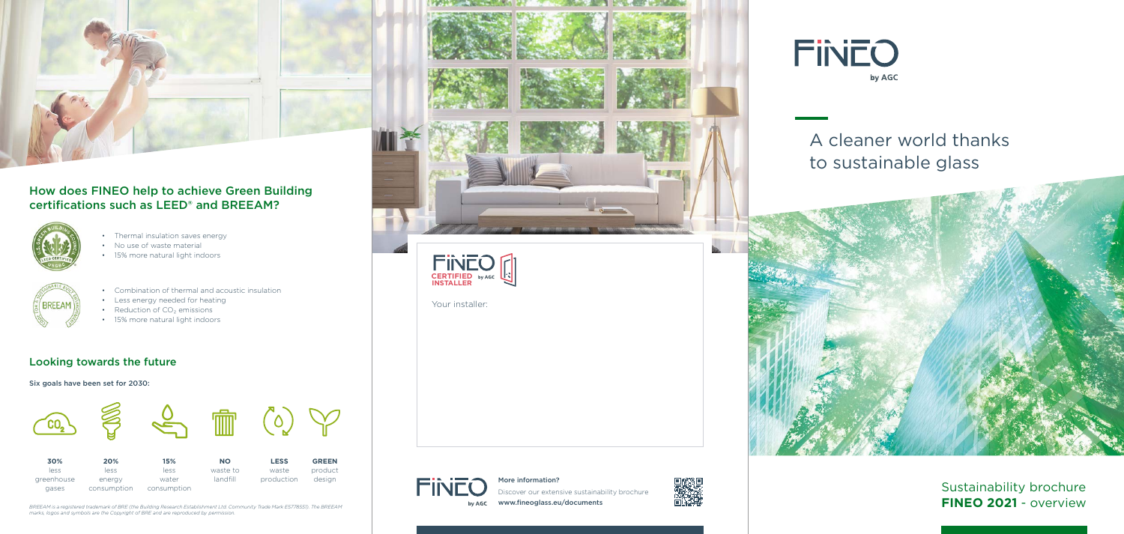

Your installer:

## **FINEC** by AGC

#### Looking towards the future

Six goals have been set for 2030:

# A cleaner world thanks to sustainable glass



Sustainability brochure **FINEO 2021** - overview

#### More information?

Discover our extensive sustainability brochure www.fineoglass.eu/documents





- Thermal insulation saves energy
- No use of waste material
- 15% more natural light indoors



- Combination of thermal and acoustic insulation
- Less energy needed for heating
- Reduction of  $CO<sub>2</sub>$  emissions
- 15% more natural light indoors



### How does FINEO help to achieve Green Building certifications such as LEED® and BREEAM?





*BREEAM is a registered trademark of BRE (the Building Research Establishment Ltd. Community Trade Mark E5778551). The BREEAM marks, logos and symbols are the Copyright of BRE and are reproduced by permission.*